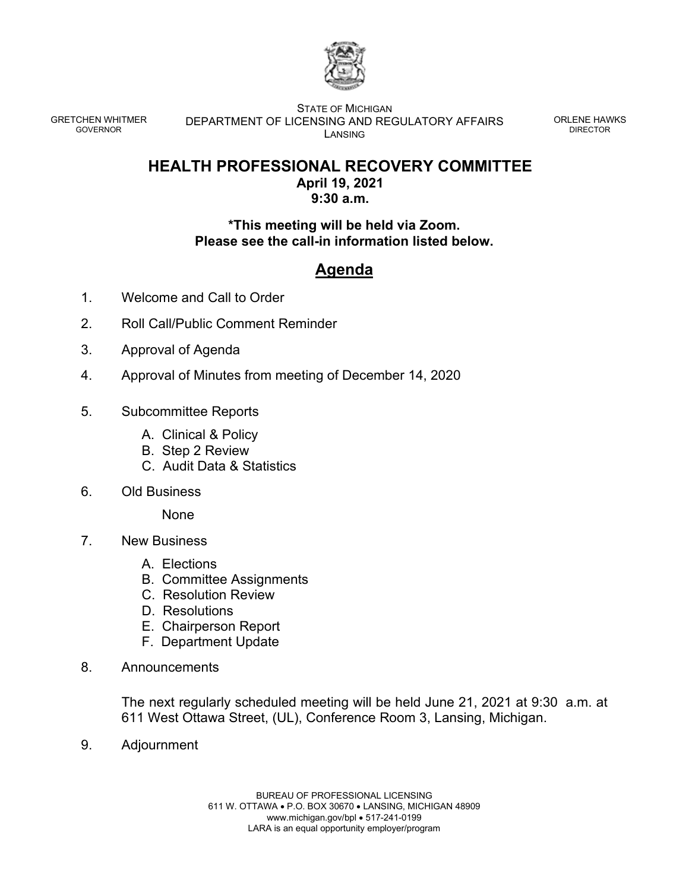

GRETCHEN WHITMER GOVERNOR

STATE OF MICHIGAN DEPARTMENT OF LICENSING AND REGULATORY AFFAIRS LANSING

ORLENE HAWKS DIRECTOR

## **HEALTH PROFESSIONAL RECOVERY COMMITTEE**

**April 19, 2021 9:30 a.m.**

**\*This meeting will be held via Zoom. Please see the call-in information listed below.**

## **Agenda**

- 1. Welcome and Call to Order
- 2. Roll Call/Public Comment Reminder
- 3. Approval of Agenda
- 4. Approval of Minutes from meeting of December 14, 2020
- 5. Subcommittee Reports
	- A. Clinical & Policy
	- B. Step 2 Review
	- C. Audit Data & Statistics
- 6. Old Business

None

- 7. New Business
	- A. Elections
	- B. Committee Assignments
	- C. Resolution Review
	- D. Resolutions
	- E. Chairperson Report
	- F. Department Update
- 8. Announcements

The next regularly scheduled meeting will be held June 21, 2021 at 9:30. a.m. at 611 West Ottawa Street, (UL), Conference Room 3, Lansing, Michigan.

9. Adjournment

BUREAU OF PROFESSIONAL LICENSING 611 W. OTTAWA • P.O. BOX 30670 • LANSING, MICHIGAN 48909 www.michigan.gov/bpl • 517-241-0199 LARA is an equal opportunity employer/program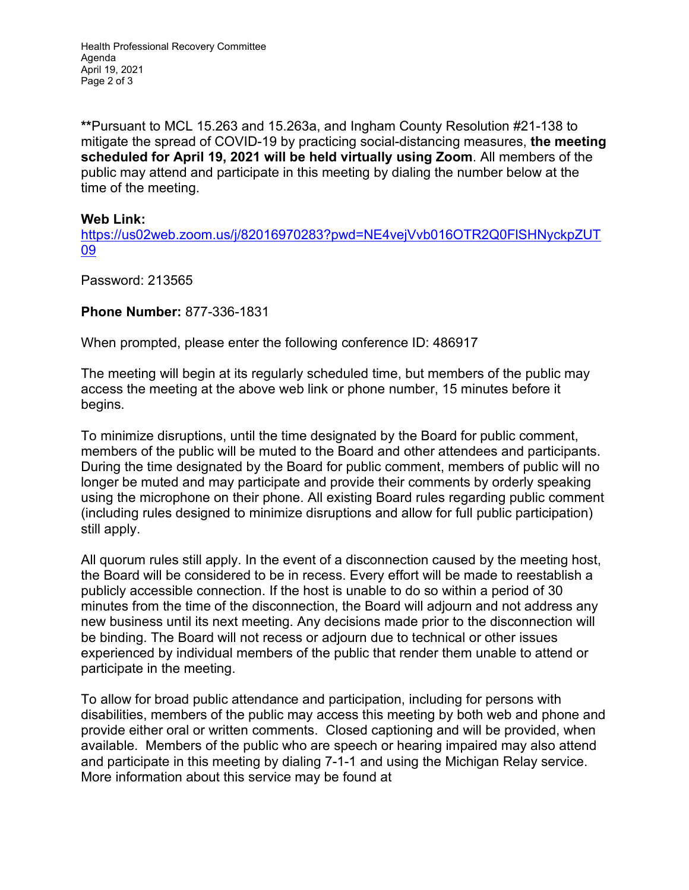Health Professional Recovery Committee Agenda April 19, 2021 Page 2 of 3

**\*\***Pursuant to MCL 15.263 and 15.263a, and Ingham County Resolution #21-138 to mitigate the spread of COVID-19 by practicing social-distancing measures, **the meeting scheduled for April 19, 2021 will be held virtually using Zoom**. All members of the public may attend and participate in this meeting by dialing the number below at the time of the meeting.

## **Web Link:**

[https://us02web.zoom.us/j/82016970283?pwd=NE4vejVvb016OTR2Q0FlSHNyckpZUT](https://us02web.zoom.us/j/82016970283?pwd=NE4vejVvb016OTR2Q0FlSHNyckpZUT09) [09](https://us02web.zoom.us/j/82016970283?pwd=NE4vejVvb016OTR2Q0FlSHNyckpZUT09)

Password: 213565

**Phone Number:** 877-336-1831

When prompted, please enter the following conference ID: 486917

The meeting will begin at its regularly scheduled time, but members of the public may access the meeting at the above web link or phone number, 15 minutes before it begins.

To minimize disruptions, until the time designated by the Board for public comment, members of the public will be muted to the Board and other attendees and participants. During the time designated by the Board for public comment, members of public will no longer be muted and may participate and provide their comments by orderly speaking using the microphone on their phone. All existing Board rules regarding public comment (including rules designed to minimize disruptions and allow for full public participation) still apply.

All quorum rules still apply. In the event of a disconnection caused by the meeting host, the Board will be considered to be in recess. Every effort will be made to reestablish a publicly accessible connection. If the host is unable to do so within a period of 30 minutes from the time of the disconnection, the Board will adjourn and not address any new business until its next meeting. Any decisions made prior to the disconnection will be binding. The Board will not recess or adjourn due to technical or other issues experienced by individual members of the public that render them unable to attend or participate in the meeting.

To allow for broad public attendance and participation, including for persons with disabilities, members of the public may access this meeting by both web and phone and provide either oral or written comments. Closed captioning and will be provided, when available. Members of the public who are speech or hearing impaired may also attend and participate in this meeting by dialing 7-1-1 and using the Michigan Relay service. More information about this service may be found at